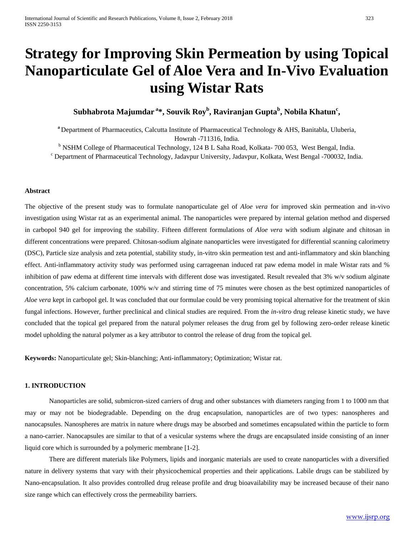# **Strategy for Improving Skin Permeation by using Topical Nanoparticulate Gel of Aloe Vera and In-Vivo Evaluation using Wistar Rats**

# **Subhabrota Majumdar <sup>a</sup> \*, Souvik Roy<sup>b</sup> , Raviranjan Guptab , Nobila Khatunc ,**

**<sup>a</sup>**Department of Pharmaceutics, Calcutta Institute of Pharmaceutical Technology & AHS, Banitabla, Uluberia, Howrah -711316, India.

<sup>b</sup> NSHM College of Pharmaceutical Technology, 124 B L Saha Road, Kolkata- 700 053, West Bengal, India.

<sup>c</sup> Department of Pharmaceutical Technology, Jadavpur University, Jadavpur, Kolkata, West Bengal -700032, India.

# **Abstract**

The objective of the present study was to formulate nanoparticulate gel of *Aloe vera* for improved skin permeation and in-vivo investigation using Wistar rat as an experimental animal. The nanoparticles were prepared by internal gelation method and dispersed in carbopol 940 gel for improving the stability. Fifteen different formulations of *Aloe vera* with sodium alginate and chitosan in different concentrations were prepared. Chitosan-sodium alginate nanoparticles were investigated for differential scanning calorimetry (DSC), Particle size analysis and zeta potential, stability study, in-vitro skin permeation test and anti-inflammatory and skin blanching effect. Anti-inflammatory activity study was performed using carrageenan induced rat paw edema model in male Wistar rats and % inhibition of paw edema at different time intervals with different dose was investigated. Result revealed that 3% w/v sodium alginate concentration, 5% calcium carbonate, 100% w/v and stirring time of 75 minutes were chosen as the best optimized nanoparticles of *Aloe vera* kept in carbopol gel. It was concluded that our formulae could be very promising topical alternative for the treatment of skin fungal infections. However, further preclinical and clinical studies are required. From the *in-vitro* drug release kinetic study, we have concluded that the topical gel prepared from the natural polymer releases the drug from gel by following zero-order release kinetic model upholding the natural polymer as a key attributor to control the release of drug from the topical gel.

**Keywords:** Nanoparticulate gel; Skin-blanching; Anti-inflammatory; Optimization; Wistar rat.

#### **1. INTRODUCTION**

Nanoparticles are solid, submicron-sized carriers of drug and other substances with diameters ranging from 1 to 1000 nm that may or may not be biodegradable. Depending on the drug encapsulation, nanoparticles are of two types: nanospheres and nanocapsules. Nanospheres are matrix in nature where drugs may be absorbed and sometimes encapsulated within the particle to form a nano-carrier. Nanocapsules are similar to that of a vesicular systems where the drugs are encapsulated inside consisting of an inner liquid core which is surrounded by a polymeric membrane [1-2].

There are different materials like Polymers, lipids and inorganic materials are used to create nanoparticles with a diversified nature in delivery systems that vary with their physicochemical properties and their applications. Labile drugs can be stabilized by Nano-encapsulation. It also provides controlled drug release profile and drug bioavailability may be increased because of their nano size range which can effectively cross the permeability barriers.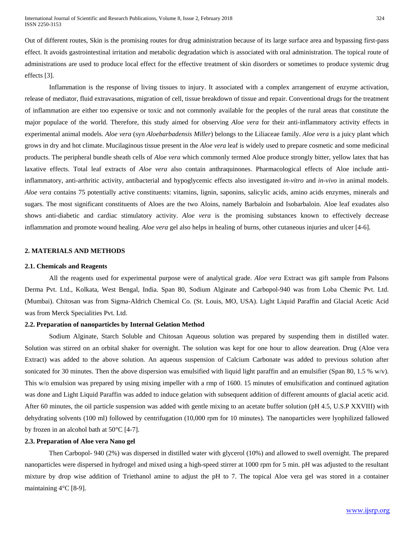Out of different routes, Skin is the promising routes for drug administration because of its large surface area and bypassing first-pass effect. It avoids gastrointestinal irritation and metabolic degradation which is associated with oral administration. The topical route of administrations are used to produce local effect for the effective treatment of skin disorders or sometimes to produce systemic drug effects [3].

Inflammation is the response of living tissues to injury. It associated with a complex arrangement of enzyme activation, release of mediator, fluid extravasations, migration of cell, tissue breakdown of tissue and repair. Conventional drugs for the treatment of inflammation are either too expensive or toxic and not commonly available for the peoples of the rural areas that constitute the major populace of the world. Therefore, this study aimed for observing *Aloe vera* for their anti-inflammatory activity effects in experimental animal models. *Aloe vera* (syn *Aloebarbadensis Miller*) belongs to the Liliaceae family. *Aloe vera* is a juicy plant which grows in dry and hot climate. Mucilaginous tissue present in the *Aloe vera* leaf is widely used to prepare cosmetic and some medicinal products. The peripheral bundle sheath cells of *Aloe vera* which commonly termed Aloe produce strongly bitter, yellow latex that has laxative effects. Total leaf extracts of *Aloe vera* also contain anthraquinones. Pharmacological effects of Aloe include antiinflammatory, anti-arthritic activity, antibacterial and hypoglycemic effects also investigated *in-vitro* and *in-vivo* in animal models. *Aloe vera* contains 75 potentially active constituents: vitamins, lignin, saponins, salicylic acids, amino acids enzymes, minerals and sugars. The most significant constituents of Aloes are the two Aloins, namely Barbaloin and Isobarbaloin. Aloe leaf exudates also shows anti-diabetic and cardiac stimulatory activity. *Aloe vera* is the promising substances known to effectively decrease inflammation and promote wound healing. *Aloe vera* gel also helps in healing of burns, other cutaneous injuries and ulcer [4-6].

# **2. MATERIALS AND METHODS**

#### **2.1. Chemicals and Reagents**

All the reagents used for experimental purpose were of analytical grade. *Aloe vera* Extract was gift sample from Palsons Derma Pvt. Ltd., Kolkata, West Bengal, India. Span 80, Sodium Alginate and Carbopol-940 was from Loba Chemic Pvt. Ltd. (Mumbai). Chitosan was from Sigma-Aldrich Chemical Co. (St. Louis, MO, USA). Light Liquid Paraffin and Glacial Acetic Acid was from Merck Specialities Pvt. Ltd.

# **2.2. Preparation of nanoparticles by Internal Gelation Method**

Sodium Alginate, Starch Soluble and Chitosan Aqueous solution was prepared by suspending them in distilled water. Solution was stirred on an orbital shaker for overnight. The solution was kept for one hour to allow deareation. Drug (Aloe vera Extract) was added to the above solution. An aqueous suspension of Calcium Carbonate was added to previous solution after sonicated for 30 minutes. Then the above dispersion was emulsified with liquid light paraffin and an emulsifier (Span 80, 1.5 % w/v). This w/o emulsion was prepared by using mixing impeller with a rmp of 1600. 15 minutes of emulsification and continued agitation was done and Light Liquid Paraffin was added to induce gelation with subsequent addition of different amounts of glacial acetic acid. After 60 minutes, the oil particle suspension was added with gentle mixing to an acetate buffer solution (pH 4.5, U.S.P XXVIII) with dehydrating solvents (100 ml) followed by centrifugation (10,000 rpm for 10 minutes). The nanoparticles were lyophilized fallowed by frozen in an alcohol bath at 50°C [4-7].

# **2.3. Preparation of Aloe vera Nano gel**

Then Carbopol- 940 (2%) was dispersed in distilled water with glycerol (10%) and allowed to swell overnight. The prepared nanoparticles were dispersed in hydrogel and mixed using a high-speed stirrer at 1000 rpm for 5 min. pH was adjusted to the resultant mixture by drop wise addition of Triethanol amine to adjust the pH to 7. The topical Aloe vera gel was stored in a container maintaining 4°C [8-9].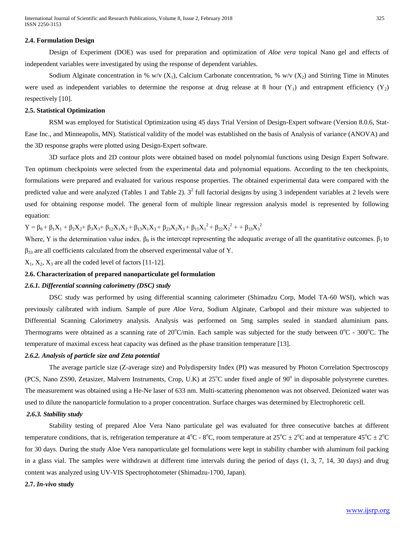# **2.4. Formulation Design**

Design of Experiment (DOE) was used for preparation and optimization of *Aloe vera* topical Nano gel and effects of independent variables were investigated by using the response of dependent variables.

Sodium Alginate concentration in % w/v (X<sub>1</sub>), Calcium Carbonate concentration, % w/v (X<sub>2</sub>) and Stirring Time in Minutes were used as independent variables to determine the response at drug release at 8 hour  $(Y_1)$  and entrapment efficiency  $(Y_2)$ respectively [10].

#### **2.5. Statistical Optimization**

RSM was employed for Statistical Optimization using 45 days Trial Version of Design-Expert software (Version 8.0.6, Stat-Ease Inc., and Minneapolis, MN). Statistical validity of the model was established on the basis of Analysis of variance (ANOVA) and the 3D response graphs were plotted using Design-Expert software.

3D surface plots and 2D contour plots were obtained based on model polynomial functions using Design Expert Software. Ten optimum checkpoints were selected from the experimental data and polynomial equations. According to the ten checkpoints, formulations were prepared and evaluated for various response properties. The obtained experimental data were compared with the predicted value and were analyzed (Tables 1 and Table 2).  $3^2$  full factorial designs by using 3 independent variables at 2 levels were used for obtaining response model. The general form of multiple linear regression analysis model is represented by following equation:

 $Y = \beta_0 + \beta_1 X_1 + \beta_2 X_2 + \beta_3 X_3 + \beta_{12} X_1 X_2 + \beta_{13} X_1 X_3 + \beta_{23} X_2 X_3 + \beta_{11} X_1^2 + \beta_{22} X_2^2 + \beta_{33} X_3^2$ 

Where, Y is the determination value index.  $\beta_0$  is the intercept representing the adequatic average of all the quantitative outcomes.  $\beta_1$  to  $\beta_{33}$  are all coefficients calculated from the observed experimental value of Y.

 $X_1, X_2, X_3$  are all the coded level of factors [11-12].

#### **2.6. Characterization of prepared nanoparticulate gel formulation**

#### *2.6.1. Differential scanning calorimetry (DSC) study*

DSC study was performed by using differential scanning calorimeter (Shimadzu Corp, Model TA-60 WSI), which was previously calibrated with indium. Sample of pure *Aloe Vera*, Sodium Alginate, Carbopol and their mixture was subjected to Differential Scanning Calorimetry analysis. Analysis was performed on 5mg samples sealed in standard aluminium pans. Thermograms were obtained as a scanning rate of  $20^{\circ}$ C/min. Each sample was subjected for the study between  $0^{\circ}$ C - 300°C. The temperature of maximal excess heat capacity was defined as the phase transition temperature [13].

## *2.6.2. Analysis of particle size and Zeta potential*

The average particle size (Z-average size) and Polydispersity Index (PI) was measured by Photon Correlation Spectroscopy (PCS, Nano ZS90, Zetasizer, Malvern Instruments, Crop, U.K) at 25°C under fixed angle of 90° in disposable polystyrene curettes. The measurement was obtained using a He-Ne laser of 633 nm. Multi-scattering phenomenon was not observed. Deionized water was used to dilute the nanoparticle formulation to a proper concentration. Surface charges was determined by Electrophoretic cell.

# *2.6.3. Stability study*

Stability testing of prepared Aloe Vera Nano particulate gel was evaluated for three consecutive batches at different temperature conditions, that is, refrigeration temperature at 4<sup>o</sup>C - 8<sup>o</sup>C, room temperature at  $25^{\circ}$ C  $\pm 2^{\circ}$ C and at temperature 45<sup>o</sup>C  $\pm 2^{\circ}$ C for 30 days. During the study Aloe Vera nanoparticulate gel formulations were kept in stability chamber with aluminum foil packing in a glass vial. The samples were withdrawn at different time intervals during the period of days (1, 3, 7, 14, 30 days) and drug content was analyzed using UV-VIS Spectrophotometer (Shimadzu-1700, Japan).

# **2.7.** *In-vivo* **study**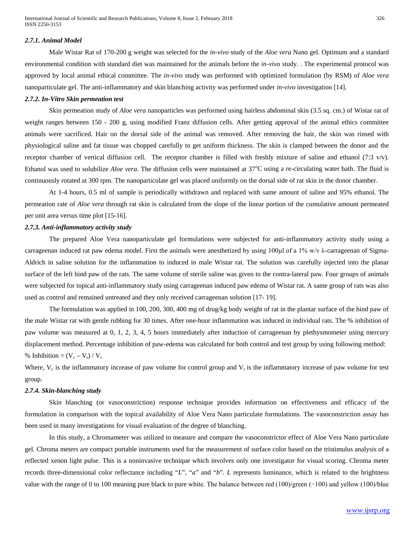#### *2.7.1. Animal Model*

Male Wistar Rat of 170-200 g weight was selected for the *in-vivo* study of the *Aloe vera* Nano gel. Optimum and a standard environmental condition with standard diet was maintained for the animals before the *in-vivo* study. . The experimental protocol was approved by local animal ethical committee. The *in-vivo* study was performed with optimized formulation (by RSM) of *Aloe vera* nanoparticulate gel. The anti-inflammatory and skin blanching activity was performed under *in-vivo* investigation [14].

# *2.7.2. In-Vitro Skin permeation test*

Skin permeation study of *Aloe vera* nanoparticles was performed using hairless abdominal skin (3.5 sq. cm.) of Wistar rat of weight ranges between 150 - 200 g, using modified Franz diffusion cells. After getting approval of the animal ethics committee animals were sacrificed. Hair on the dorsal side of the animal was removed. After removing the hair, the skin was rinsed with physiological saline and fat tissue was chopped carefully to get uniform thickness. The skin is clamped between the donor and the receptor chamber of vertical diffusion cell. The receptor chamber is filled with freshly mixture of saline and ethanol (7:3 v/v). Ethanol was used to solubilize *Aloe vera*. The diffusion cells were maintained at 37°C using a re-circulating water bath. The fluid is continuously rotated at 300 rpm. The nanoparticulate gel was placed uniformly on the dorsal side of rat skin in the donor chamber.

At 1-4 hours, 0.5 ml of sample is periodically withdrawn and replaced with same amount of saline and 95% ethanol. The permeation rate of *Aloe vera* through rat skin is calculated from the slope of the linear portion of the cumulative amount permeated per unit area versus time plot [15-16].

#### *2.7.3. Anti-inflammatory activity study*

The prepared Aloe Vera nanoparticulate gel formulations were subjected for anti-inflammatory activity study using a carrageenan induced rat paw edema model. First the animals were anesthetized by using 100 $\mu$ l of a 1% w/v  $\lambda$ -carrageenan of Sigma-Aldrich in saline solution for the inflammation to induced in male Wistar rat. The solution was carefully injected into the planar surface of the left hind paw of the rats. The same volume of sterile saline was given to the contra-lateral paw. Four groups of animals were subjected for topical anti-inflammatory study using carrageenan induced paw edema of Wistar rat. A same group of rats was also used as control and remained untreated and they only received carrageenan solution [17- 19].

The formulation was applied in 100, 200, 300, 400 mg of drug/kg body weight of rat in the plantar surface of the hind paw of the male Wistar rat with gentle rubbing for 30 times. After one-hour inflammation was induced in individual rats. The % inhibition of paw volume was measured at 0, 1, 2, 3, 4, 5 hours immediately after induction of carrageenan by plethysmometer using mercury displacement method. Percentage inhibition of paw-edema was calculated for both control and test group by using following method: % Inhibition =  $(V_c - V_t) / V_c$ 

Where,  $V_c$  is the inflammatory increase of paw volume for control group and  $V_t$  is the inflammatory increase of paw volume for test group.

# *2.7.4. Skin-blanching study*

Skin blanching (or vasoconstriction) response technique provides information on effectiveness and efficacy of the formulation in comparison with the topical availability of Aloe Vera Nano particulate formulations. The vasoconstriction assay has been used in many investigations for visual evaluation of the degree of blanching.

In this study, a Chromameter was utilized to measure and compare the vasoconstrictor effect of Aloe Vera Nano particulate gel. Chroma meters are compact portable instruments used for the measurement of surface color based on the tristimulus analysis of a reflected xenon light pulse. This is a noninvasive technique which involves only one investigator for visual scoring. Chroma meter records three-dimensional color reflectance including "*L*", "*a*" and "*b*". *L* represents luminance, which is related to the brightness value with the range of 0 to 100 meaning pure black to pure white. The balance between red (100)/green (−100) and yellow (100)/blue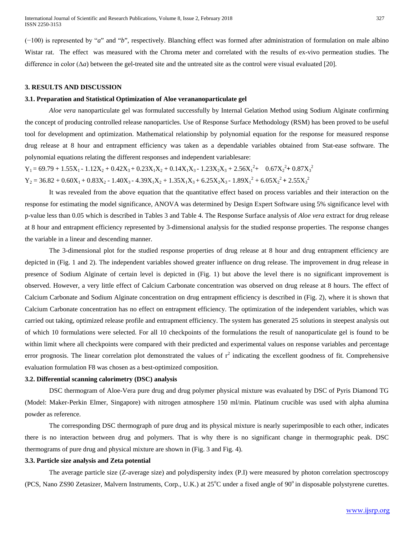(−100) is represented by "*a*" and "*b*", respectively. Blanching effect was formed after administration of formulation on male albino Wistar rat. The effect was measured with the Chroma meter and correlated with the results of ex-vivo permeation studies. The difference in color  $(\Delta a)$  between the gel-treated site and the untreated site as the control were visual evaluated [20].

#### **3. RESULTS AND DISCUSSION**

## **3.1. Preparation and Statistical Optimization of Aloe verananoparticulate gel**

*Aloe vera* nanoparticulate gel was formulated successfully by Internal Gelation Method using Sodium Alginate confirming the concept of producing controlled release nanoparticles. Use of Response Surface Methodology (RSM) has been proved to be useful tool for development and optimization. Mathematical relationship by polynomial equation for the response for measured response drug release at 8 hour and entrapment efficiency was taken as a dependable variables obtained from Stat-ease software. The polynomial equations relating the different responses and independent variablesare:

 $Y_1 = 69.79 + 1.55X_1 - 1.12X_2 + 0.42X_3 + 0.23X_1X_2 + 0.14X_1X_3 - 1.23X_2X_3 + 2.56X_1^2 + 0.67X_2^2 + 0.87X_3^2$  $Y_2 = 36.82 + 0.60X_1 + 0.83X_2 - 1.40X_3 - 4.39X_1X_2 + 1.35X_1X_3 + 6.25X_2X_3 - 1.89X_1^2 + 6.05X_2^2 + 2.55X_3^2$ 

It was revealed from the above equation that the quantitative effect based on process variables and their interaction on the response for estimating the model significance, ANOVA was determined by Design Expert Software using 5% significance level with p-value less than 0.05 which is described in Tables 3 and Table 4. The Response Surface analysis of *Aloe vera* extract for drug release at 8 hour and entrapment efficiency represented by 3-dimensional analysis for the studied response properties. The response changes the variable in a linear and descending manner.

The 3-dimensional plot for the studied response properties of drug release at 8 hour and drug entrapment efficiency are depicted in (Fig. 1 and 2). The independent variables showed greater influence on drug release. The improvement in drug release in presence of Sodium Alginate of certain level is depicted in (Fig. 1) but above the level there is no significant improvement is observed. However, a very little effect of Calcium Carbonate concentration was observed on drug release at 8 hours. The effect of Calcium Carbonate and Sodium Alginate concentration on drug entrapment efficiency is described in (Fig. 2), where it is shown that Calcium Carbonate concentration has no effect on entrapment efficiency. The optimization of the independent variables, which was carried out taking, optimized release profile and entrapment efficiency. The system has generated 25 solutions in steepest analysis out of which 10 formulations were selected. For all 10 checkpoints of the formulations the result of nanoparticulate gel is found to be within limit where all checkpoints were compared with their predicted and experimental values on response variables and percentage error prognosis. The linear correlation plot demonstrated the values of  $r^2$  indicating the excellent goodness of fit. Comprehensive evaluation formulation F8 was chosen as a best-optimized composition.

# **3.2. Differential scanning calorimetry (DSC) analysis**

DSC thermogram of Aloe-Vera pure drug and drug polymer physical mixture was evaluated by DSC of Pyris Diamond TG (Model: Maker-Perkin Elmer, Singapore) with nitrogen atmosphere 150 ml/min. Platinum crucible was used with alpha alumina powder as reference.

The corresponding DSC thermograph of pure drug and its physical mixture is nearly superimposible to each other, indicates there is no interaction between drug and polymers. That is why there is no significant change in thermographic peak. DSC thermograms of pure drug and physical mixture are shown in (Fig. 3 and Fig. 4).

# **3.3. Particle size analysis and Zeta potential**

The average particle size (Z-average size) and polydispersity index (P.I) were measured by photon correlation spectroscopy (PCS, Nano ZS90 Zetasizer, Malvern Instruments, Corp., U.K.) at 25°C under a fixed angle of 90° in disposable polystyrene curettes.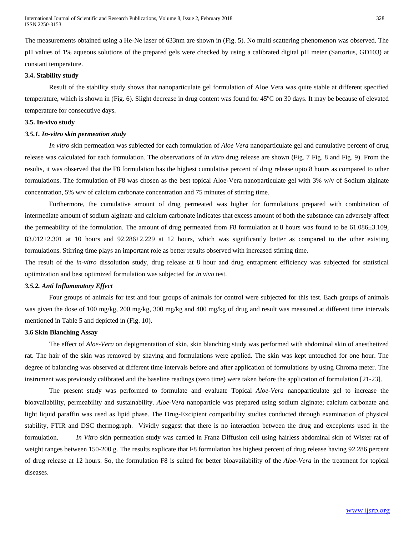The measurements obtained using a He-Ne laser of 633nm are shown in (Fig. 5). No multi scattering phenomenon was observed. The pH values of 1% aqueous solutions of the prepared gels were checked by using a calibrated digital pH meter (Sartorius, GD103) at constant temperature.

#### **3.4. Stability study**

Result of the stability study shows that nanoparticulate gel formulation of Aloe Vera was quite stable at different specified temperature, which is shown in (Fig. 6). Slight decrease in drug content was found for 45°C on 30 days. It may be because of elevated temperature for consecutive days.

# **3.5. In-vivo study**

# *3.5.1. In-vitro skin permeation study*

*In vitro* skin permeation was subjected for each formulation of *Aloe Vera* nanoparticulate gel and cumulative percent of drug release was calculated for each formulation. The observations of *in vitro* drug release are shown (Fig. 7 Fig. 8 and Fig. 9). From the results, it was observed that the F8 formulation has the highest cumulative percent of drug release upto 8 hours as compared to other formulations. The formulation of F8 was chosen as the best topical Aloe-Vera nanoparticulate gel with 3% w/v of Sodium alginate concentration, 5% w/v of calcium carbonate concentration and 75 minutes of stirring time.

Furthermore, the cumulative amount of drug permeated was higher for formulations prepared with combination of intermediate amount of sodium alginate and calcium carbonate indicates that excess amount of both the substance can adversely affect the permeability of the formulation. The amount of drug permeated from F8 formulation at 8 hours was found to be 61.086 $\pm$ 3.109,  $83.012\pm2.301$  at 10 hours and  $92.286\pm2.229$  at 12 hours, which was significantly better as compared to the other existing formulations. Stirring time plays an important role as better results observed with increased stirring time.

The result of the *in-vitro* dissolution study, drug release at 8 hour and drug entrapment efficiency was subjected for statistical optimization and best optimized formulation was subjected for *in vivo* test.

# *3.5.2. Anti Inflammatory Effect*

Four groups of animals for test and four groups of animals for control were subjected for this test. Each groups of animals was given the dose of 100 mg/kg, 200 mg/kg, 300 mg/kg and 400 mg/kg of drug and result was measured at different time intervals mentioned in Table 5 and depicted in (Fig. 10).

#### **3.6 Skin Blanching Assay**

The effect of *Aloe-Vera* on depigmentation of skin, skin blanching study was performed with abdominal skin of anesthetized rat. The hair of the skin was removed by shaving and formulations were applied. The skin was kept untouched for one hour. The degree of balancing was observed at different time intervals before and after application of formulations by using Chroma meter. The instrument was previously calibrated and the baseline readings (zero time) were taken before the application of formulation [21-23].

The present study was performed to formulate and evaluate Topical *Aloe-Vera* nanoparticulate gel to increase the bioavailability, permeability and sustainability. *Aloe-Vera* nanoparticle was prepared using sodium alginate; calcium carbonate and light liquid paraffin was used as lipid phase. The Drug-Excipient compatibility studies conducted through examination of physical stability, FTIR and DSC thermograph. Vividly suggest that there is no interaction between the drug and excepients used in the formulation. *In Vitro* skin permeation study was carried in Franz Diffusion cell using hairless abdominal skin of Wister rat of weight ranges between 150-200 g. The results explicate that F8 formulation has highest percent of drug release having 92.286 percent of drug release at 12 hours. So, the formulation F8 is suited for better bioavailability of the *Aloe-Vera* in the treatment for topical diseases.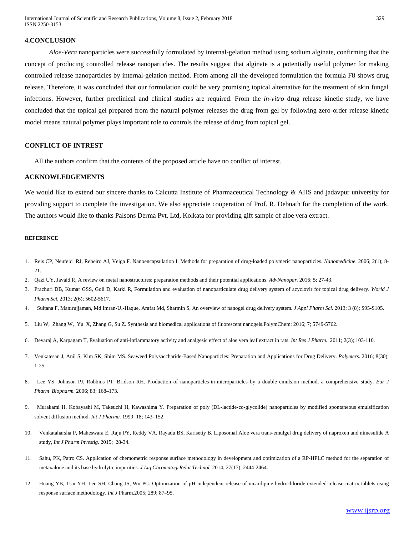International Journal of Scientific and Research Publications, Volume 8, Issue 2, February 2018 329 ISSN 2250-3153

#### **4.CONCLUSION**

*Aloe-Vera* nanoparticles were successfully formulated by internal-gelation method using sodium alginate, confirming that the concept of producing controlled release nanoparticles. The results suggest that alginate is a potentially useful polymer for making controlled release nanoparticles by internal-gelation method. From among all the developed formulation the formula F8 shows drug release. Therefore, it was concluded that our formulation could be very promising topical alternative for the treatment of skin fungal infections. However, further preclinical and clinical studies are required. From the *in-vitro* drug release kinetic study, we have concluded that the topical gel prepared from the natural polymer releases the drug from gel by following zero-order release kinetic model means natural polymer plays important role to controls the release of drug from topical gel.

# **CONFLICT OF INTREST**

All the authors confirm that the contents of the proposed article have no conflict of interest.

#### **ACKNOWLEDGEMENTS**

We would like to extend our sincere thanks to Calcutta Institute of Pharmaceutical Technology & AHS and jadavpur university for providing support to complete the investigation. We also appreciate cooperation of Prof. R. Debnath for the completion of the work. The authors would like to thanks Palsons Derma Pvt. Ltd, Kolkata for providing gift sample of aloe vera extract.

#### **REFERENCE**

- 1. Reis CP, Neufeld RJ, Rebeiro AJ, Veiga F. Nanoencapsulation I. Methods for preparation of drug-loaded polymeric nanoparticles. *Nanomedicine.* 2006; 2(1); 8- 21.
- 2. Qazi UY, Javaid R, A review on metal nanostructures: preparation methods and their potential applications. *AdvNanopar.* 2016; 5; 27-43.
- 3. Prachuri DB, Kumar GSS, Goli D, Karki R, Formulation and evaluation of nanoparticulate drug delivery system of acyclovir for topical drug delivery. *World J Pharm Sci*, 2013; 2(6); 5602-5617.
- 4. Sultana F, Manirujjaman, Md Imran-Ul-Haque, Arafat Md, Sharmin S, An overview of nanogel drug delivery system*. J Appl Pharm Sci.* 2013; 3 (8); S95-S105.
- 5. Liu W, Zhang W, Yu X, Zhang G, Su Z. Synthesis and biomedical applications of fluorescent nanogels.PolymChem; 2016; 7; 5749-5762.
- 6. Devaraj A, Karpagam T, Evaluation of anti-inflammatory activity and analgesic effect of aloe vera leaf extract in rats. *Int Res J Pharm.* 2011; 2(3); 103-110.
- 7. Venkatesan J, Anil S, Kim SK, Shim MS. Seaweed Polysaccharide-Based Nanoparticles: Preparation and Applications for Drug Delivery. *Polymers*. 2016; 8(30); 1-25.
- 8. Lee YS, Johnson PJ, Robbins PT, Bridson RH. Production of nanoparticles-in-microparticles by a double emulsion method, a comprehensive study. *Eur J Pharm Biopharm.* 2006; 83; 168–173.
- 9. Murakami H, Kobayashi M, Takeuchi H, Kawashima Y. Preparation of poly (DL-lactide-co-glycolide) nanoparticles by modified spontaneous emulsification solvent diffusion method. *Int J Pharma.* 1999; 18; 143–152.
- 10. Venkataharsha P, Maheswara E, Raju PY, Reddy VA, Rayadu BS, Karisetty B. Liposomal Aloe vera trans-emulgel drug delivery of naproxen and nimesulide A study, *Int J Pharm Investig*. 2015; 28-34.
- 11. Sahu, PK, Patro CS. Application of chemometric response surface methodology in development and optimization of a RP-HPLC method for the separation of metaxalone and its base hydrolytic impurities. *J Liq ChromatogrRelat Technol.* 2014; 27(17); 2444-2464.
- 12. Huang YB, Tsai YH, Lee SH, Chang JS, Wu PC. Optimization of pH-independent release of nicardipine hydrochloride extended-release matrix tablets using response surface methodology. *Int J* Pharm.2005; 289; 87–95.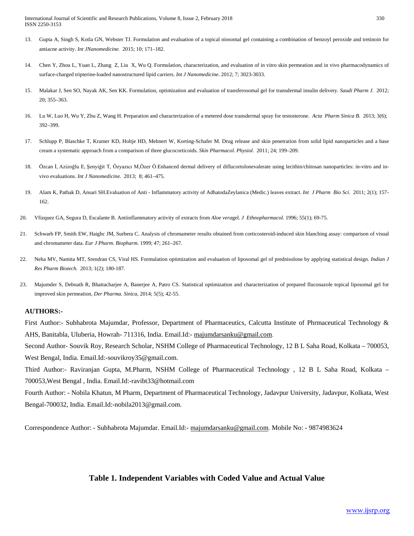- 13. Gupta A, Singh S, Kotla GN, Webster TJ. Formulation and evaluation of a topical niosomal gel containing a combination of benzoyl peroxide and tretinoin for antiacne activity. *Int JNanomedicine.* 2015; 10; 171–182.
- 14. Chen Y, Zhou L, Yuan L, Zhang Z, Liu X, Wu Q. Formulation, characterization, and evaluation of in vitro skin permeation and in vivo pharmacodynamics of surface-charged tripterine-loaded nanostructured lipid carriers. *Int J Nanomedicine*. 2012; 7; 3023-3033.
- 15. Malakar J, Sen SO, Nayak AK, Sen KK. Formulation, optimization and evaluation of transferosomal gel for transdermal insulin delivery. *Saudi Pharm J.* 2012; 20; 355–363.
- 16. Lu W, Luo H, Wu Y, Zhu Z, Wang H. Preparation and characterization of a metered dose transdermal spray for testosterone. *Acta Pharm Sinica B.* 2013; 3(6); 392–399.
- 17. Schlupp P, Blaschke T, Kramer KD, Holtje HD, Mehnert W, Korting-Schafer M. Drug release and skin penetration from solid lipid nanoparticles and a base cream a systematic approach from a comparison of three glucocorticoids. *Skin Pharmacol. Physiol*. 2011; 24; 199–209.
- 18. Özcan İ, Azizoğlu E, Şenyiğit T, Özyazıcı M,Özer Ö.Enhanced dermal delivery of diflucortolonevalerate using lecithin/chitosan nanoparticles: in-vitro and invivo evaluations. *Int J Nanomedicine.* 2013; 8; 461–475.
- 19. Alam K, Pathak D, Ansari SH.Evaluation of Anti Inflammatory activity of AdhatodaZeylanica (Medic.) leaves extract. *Int J Pharm Bio Sci.* 2011; 2(1); 157- 162.
- 20. Vfizquez GA, Segura D, Escalante B. Antiinflammatory activity of extracts from *Aloe vera*gel. *J Ethnopharmacol.* 1996; 55(1); 69-75.
- 21. Schwarb FP, Smith EW, Haighc JM, Surbera C. Analysis of chromameter results obtained from corticosteroid-induced skin blanching assay: comparison of visual and chromameter data. *Eur J Pharm. Biopharm*. 1999; 47; 261–267.
- 22. Neha MV, Namita MT, Srendran CS, Viral HS. Formulation optimization and evaluation of liposomal gel of prednisolone by applying statistical design. *Indian J Res Pharm Biotech.* 2013; 1(2); 180-187.
- 23. Majumder S, Debnath R, Bhattacharjee A, Banerjee A, Patro CS. Statistical optimization and characterization of prepared fluconazole topical liposomal gel for improved skin permeation, *Der Pharma. Sinica*, 2014; 5(5); 42-55.

#### **AUTHORS:-**

First Author:- Subhabrota Majumdar, Professor, Department of Pharmaceutics, Calcutta Institute of Phrmaceutical Technology & AHS, Banitabla, Uluberia, Howrah- 711316, India. Email.Id:- [majumdarsanku@gmail.com.](mailto:majumdarsanku@gmail.com)

Second Author- Souvik Roy, Research Scholar, NSHM College of Pharmaceutical Technology, 12 B L Saha Road, Kolkata – 700053, West Bengal, India. Email.Id:-souvikroy35@gmail.com.

Third Author:- Raviranjan Gupta, M.Pharm, NSHM College of Pharmaceutical Technology , 12 B L Saha Road, Kolkata – 700053,West Bengal , India. Email.Id:-ravibt33@hotmail.com

Fourth Author: - Nobila Khatun, M Pharm, Department of Pharmaceutical Technology, Jadavpur University, Jadavpur, Kolkata, West Bengal-700032, India. Email.Id:-nobila2013@gmail.com.

Correspondence Author: - Subhabrota Majumdar. Email.Id:- [majumdarsanku@gmail.com.](mailto:majumdarsanku@gmail.com) Mobile No: - 9874983624

# **Table 1. Independent Variables with Coded Value and Actual Value**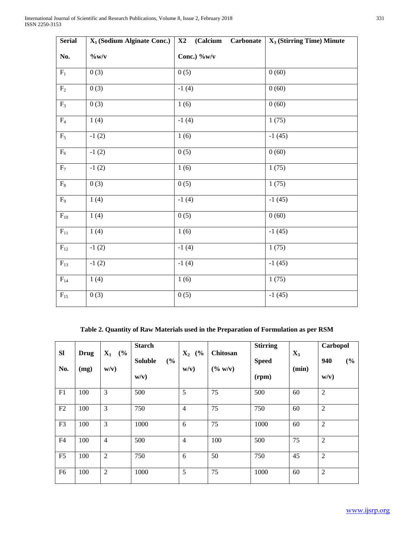| <b>Serial</b>     | $X_1$ (Sodium Alginate Conc.) | (Calcium)<br><b>Carbonate</b><br>X2 | $X_3$ (Stirring Time) Minute |
|-------------------|-------------------------------|-------------------------------------|------------------------------|
| No.               | $\%$ w/v                      | Conc.) %w/v                         |                              |
| $\mathbf{F}_1$    | 0(3)                          | 0(5)                                | 0(60)                        |
| $\rm F_2$         | 0(3)                          | $-1(4)$                             | 0(60)                        |
| $F_3$             | 0(3)                          | 1(6)                                | 0(60)                        |
| $\rm{F}_4$        | 1(4)                          | $-1(4)$                             | 1(75)                        |
| $F_5$             | $-1(2)$                       | 1(6)                                | $-1(45)$                     |
| $\mathrm{F}_6$    | $-1(2)$                       | 0(5)                                | 0(60)                        |
| $F_7$             | $-1(2)$                       | 1(6)                                | 1(75)                        |
| $\mathrm{F}_8$    | 0(3)                          | 0(5)                                | 1(75)                        |
| $F_9$             | 1(4)                          | $-1(4)$                             | $-1(45)$                     |
| $\mathrm{F}_{10}$ | 1(4)                          | 0(5)                                | 0(60)                        |
| ${\rm F}_{11}$    | 1(4)                          | 1(6)                                | $-1(45)$                     |
| $\mathrm{F}_{12}$ | $-1(2)$                       | $-1(4)$                             | 1(75)                        |
| $\mathrm{F}_{13}$ | $-1(2)$                       | $-1(4)$                             | $-1(45)$                     |
| $F_{14}$          | 1(4)                          | 1(6)                                | 1(75)                        |
| $\mathrm{F}_{15}$ | 0(3)                          | 0(5)                                | $-1(45)$                     |

**Table 2. Quantity of Raw Materials used in the Preparation of Formulation as per RSM**

| SI<br>No.      | <b>Drug</b><br>(mg) | $\mathbf{X}_1$<br>(%)<br>w/v) | <b>Starch</b><br><b>Soluble</b><br>(%)<br>w/v) | (%)<br>$\mathbf{X}_2$<br>w/v) | Chitosan<br>$(\% w/v)$ | <b>Stirring</b><br><b>Speed</b><br>(rpm) | $X_3$<br>(min) | Carbopol<br>940<br>(%)<br>w/v) |
|----------------|---------------------|-------------------------------|------------------------------------------------|-------------------------------|------------------------|------------------------------------------|----------------|--------------------------------|
| F1             | 100                 | 3                             | 500                                            | 5                             | 75                     | 500                                      | 60             | $\overline{2}$                 |
| F2             | 100                 | 3                             | 750                                            | $\overline{4}$                | 75                     | 750                                      | 60             | $\overline{2}$                 |
| F <sub>3</sub> | 100                 | 3                             | 1000                                           | 6                             | 75                     | 1000                                     | 60             | $\overline{2}$                 |
| F4             | 100                 | $\overline{4}$                | 500                                            | $\overline{4}$                | 100                    | 500                                      | 75             | $\overline{2}$                 |
| F <sub>5</sub> | 100                 | $\overline{2}$                | 750                                            | 6                             | 50                     | 750                                      | 45             | $\overline{2}$                 |
| F <sub>6</sub> | 100                 | $\overline{2}$                | 1000                                           | 5                             | 75                     | 1000                                     | 60             | $\overline{2}$                 |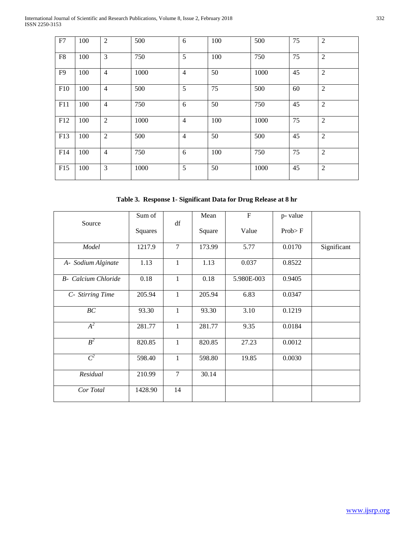| ${\rm F}7$     | 100 | $\overline{2}$ | 500  | 6              | 100 | 500  | 75 | $\overline{2}$ |
|----------------|-----|----------------|------|----------------|-----|------|----|----------------|
| ${\rm F}8$     | 100 | $\overline{3}$ | 750  | 5              | 100 | 750  | 75 | $\overline{2}$ |
| F <sub>9</sub> | 100 | $\overline{4}$ | 1000 | $\overline{4}$ | 50  | 1000 | 45 | $\overline{2}$ |
| F10            | 100 | $\overline{4}$ | 500  | 5              | 75  | 500  | 60 | $\overline{2}$ |
| F11            | 100 | $\overline{4}$ | 750  | 6              | 50  | 750  | 45 | $\overline{2}$ |
| F12            | 100 | $\overline{2}$ | 1000 | $\overline{4}$ | 100 | 1000 | 75 | $\sqrt{2}$     |
| F13            | 100 | $\overline{2}$ | 500  | $\overline{4}$ | 50  | 500  | 45 | $\overline{2}$ |
| F14            | 100 | $\overline{4}$ | 750  | 6              | 100 | 750  | 75 | $\overline{2}$ |
| F15            | 100 | 3              | 1000 | 5              | 50  | 1000 | 45 | $\overline{2}$ |

**Table 3. Response 1- Significant Data for Drug Release at 8 hr**

| Source                      | Sum of  | df             | Mean   | $\boldsymbol{\mathrm{F}}$ | p-value  |             |
|-----------------------------|---------|----------------|--------|---------------------------|----------|-------------|
|                             | Squares |                | Square | Value                     | $Prob$ F |             |
| Model                       | 1217.9  | $\overline{7}$ | 173.99 | 5.77                      | 0.0170   | Significant |
| A- Sodium Alginate          | 1.13    | $\mathbf{1}$   | 1.13   | 0.037                     | 0.8522   |             |
| <b>B</b> - Calcium Chloride | 0.18    | $\mathbf{1}$   | 0.18   | 5.980E-003                | 0.9405   |             |
| C- Stirring Time            | 205.94  | $\mathbf{1}$   | 205.94 | 6.83                      | 0.0347   |             |
| BC                          | 93.30   | $\mathbf{1}$   | 93.30  | 3.10                      | 0.1219   |             |
| $A^2$                       | 281.77  | $\mathbf{1}$   | 281.77 | 9.35                      | 0.0184   |             |
| $B^2$                       | 820.85  | $\mathbf{1}$   | 820.85 | 27.23                     | 0.0012   |             |
| $C^2$                       | 598.40  | $\mathbf{1}$   | 598.80 | 19.85                     | 0.0030   |             |
| Residual                    | 210.99  | $\overline{7}$ | 30.14  |                           |          |             |
| Cor Total                   | 1428.90 | 14             |        |                           |          |             |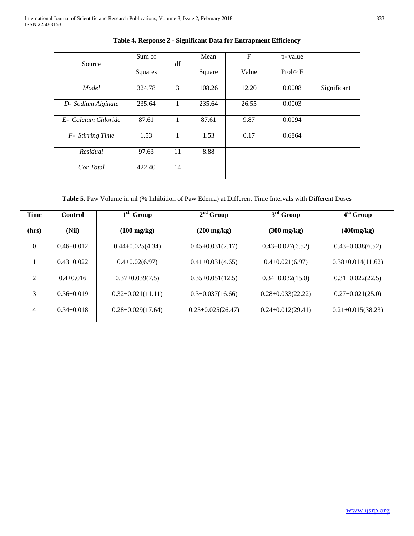|                     | Sum of  |    | Mean   | $\boldsymbol{\mathrm{F}}$ | p- value |             |
|---------------------|---------|----|--------|---------------------------|----------|-------------|
| Source              | Squares | df | Square | Value                     | Prob > F |             |
| Model               | 324.78  | 3  | 108.26 | 12.20                     | 0.0008   | Significant |
| D- Sodium Alginate  | 235.64  |    | 235.64 | 26.55                     | 0.0003   |             |
| E- Calcium Chloride | 87.61   |    | 87.61  | 9.87                      | 0.0094   |             |
| F- Stirring Time    | 1.53    | 1  | 1.53   | 0.17                      | 0.6864   |             |
| Residual            | 97.63   | 11 | 8.88   |                           |          |             |
| Cor Total           | 422.40  | 14 |        |                           |          |             |

**Table 4. Response 2 - Significant Data for Entrapment Efficiency**

**Table 5.** Paw Volume in ml (% Inhibition of Paw Edema) at Different Time Intervals with Different Doses

| <b>Time</b>    | <b>Control</b>   | $1st$ Group             | $2nd$ Group             | $3rd$ Group             | $4th$ Group             |
|----------------|------------------|-------------------------|-------------------------|-------------------------|-------------------------|
| (hrs)          | (Nil)            | $(100 \text{ mg/kg})$   | $(200 \text{ mg/kg})$   | $(300 \text{ mg/kg})$   | (400mg/kg)              |
| $\Omega$       | $0.46 \pm 0.012$ | $0.44 \pm 0.025(4.34)$  | $0.45 \pm 0.031(2.17)$  | $0.43 \pm 0.027(6.52)$  | $0.43 \pm 0.038(6.52)$  |
|                | $0.43 \pm 0.022$ | $0.4\pm0.02(6.97)$      | $0.41 \pm 0.031(4.65)$  | $0.4 \pm 0.021(6.97)$   | $0.38 \pm 0.014(11.62)$ |
| $\mathfrak{D}$ | $0.4 + 0.016$    | $0.37 \pm 0.039(7.5)$   | $0.35 \pm 0.051(12.5)$  | $0.34 \pm 0.032(15.0)$  | $0.31 \pm 0.022(22.5)$  |
| 3              | $0.36 \pm 0.019$ | $0.32 \pm 0.021(11.11)$ | $0.3 \pm 0.037(16.66)$  | $0.28 \pm 0.033(22.22)$ | $0.27 \pm 0.021(25.0)$  |
| 4              | $0.34 \pm 0.018$ | $0.28 \pm 0.029(17.64)$ | $0.25 \pm 0.025(26.47)$ | $0.24 \pm 0.012(29.41)$ | $0.21 \pm 0.015(38.23)$ |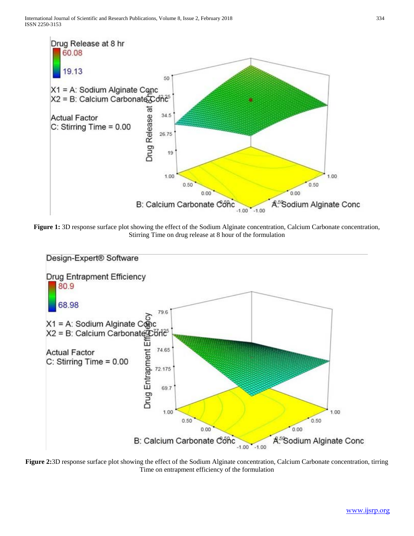

**Figure 1:** 3D response surface plot showing the effect of the Sodium Alginate concentration, Calcium Carbonate concentration, Stirring Time on drug release at 8 hour of the formulation



**Figure 2:**3D response surface plot showing the effect of the Sodium Alginate concentration, Calcium Carbonate concentration, tirring Time on entrapment efficiency of the formulation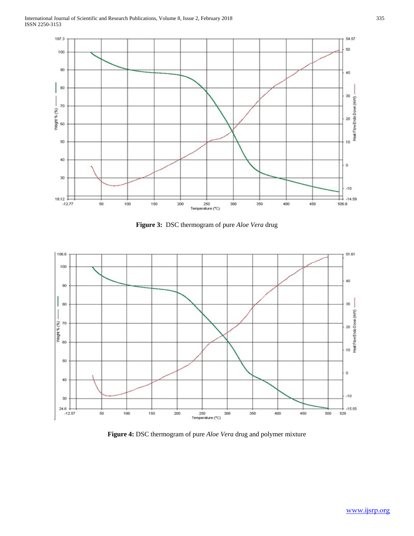

**Figure 3:** DSC thermogram of pure *Aloe Vera* drug



**Figure 4:** DSC thermogram of pure *Aloe Vera* drug and polymer mixture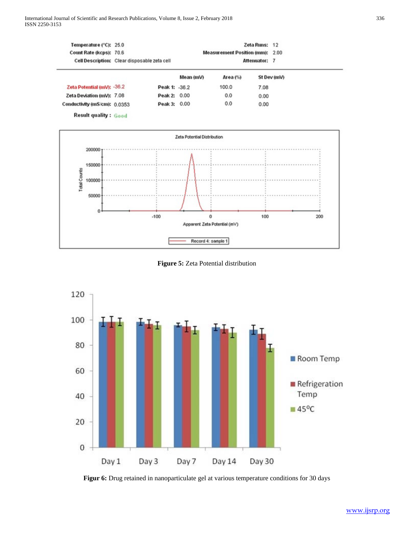| Temperature (°C): 25.0<br>Count Rate (kcps): 70.6 | Cell Description: Clear disposable zeta cell |               |           | <b>Measurement Position (mm): 2.00</b><br>Attenuator: 7 | Zeta Runs: 12 |             |  |
|---------------------------------------------------|----------------------------------------------|---------------|-----------|---------------------------------------------------------|---------------|-------------|--|
|                                                   |                                              |               | Mean (mV) | Area (%)                                                |               | St Dev (mV) |  |
| Zeta Potential (mV): -36.2                        |                                              | Peak 1: -36.2 |           | 100.0                                                   | 7.08          |             |  |
| Zeta Deviation (mV): 7.08                         |                                              | Peak 2: 0.00  |           | 0.0                                                     | 0.00          |             |  |
| Conductivity (mS/cm): 0.0353                      |                                              | Peak 3: 0.00  |           | 0.0                                                     | 0.00          |             |  |
|                                                   |                                              |               |           |                                                         |               |             |  |

**Result quality: Good** 



**Figure 5:** Zeta Potential distribution



Figur 6: Drug retained in nanoparticulate gel at various temperature conditions for 30 days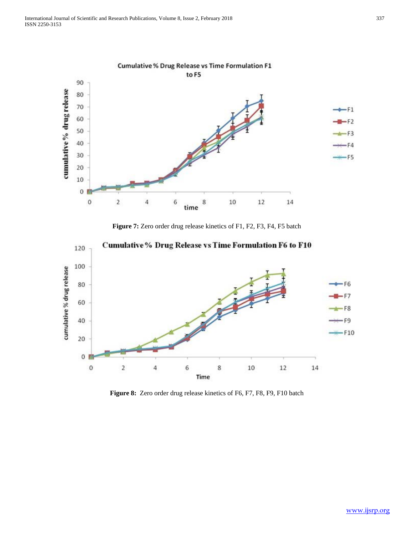

**Figure 7:** Zero order drug release kinetics of F1, F2, F3, F4, F5 batch



**Figure 8:** Zero order drug release kinetics of F6, F7, F8, F9, F10 batch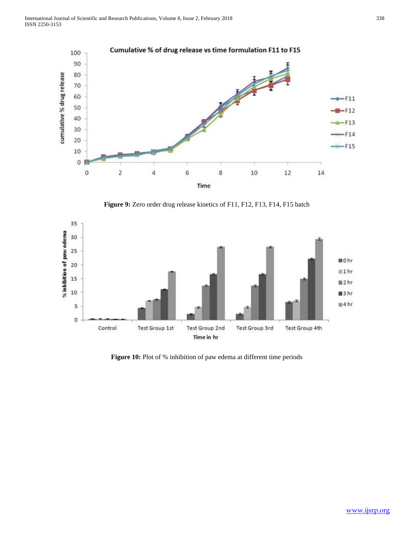

**Figure 9:** Zero order drug release kinetics of F11, F12, F13, F14, F15 batch



Figure 10: Plot of % inhibition of paw edema at different time periods